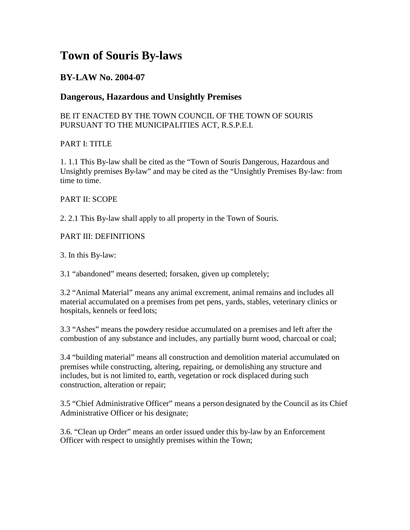# **Town of Souris By-laws**

# **BY-LAW No. 2004-07**

# **Dangerous, Hazardous and Unsightly Premises**

# BE IT ENACTED BY THE TOWN COUNCIL OF THE TOWN OF SOURIS PURSUANT TO THE MUNICIPALITIES ACT, R.S.P.E.I.

## PART I: TITLE

1. 1.1 This By-law shall be cited as the "Town of Souris Dangerous, Hazardous and Unsightly premises By-law" and may be cited as the "Unsightly Premises By-law: from time to time.

## PART II: SCOPE

2. 2.1 This By-law shall apply to all property in the Town of Souris.

# PART III: DEFINITIONS

3. In this By-law:

3.1 "abandoned" means deserted; forsaken, given up completely;

3.2 "Animal Material" means any animal excrement, animal remains and includes all material accumulated on a premises from pet pens, yards, stables, veterinary clinics or hospitals, kennels or feed lots;

3.3 "Ashes" means the powdery residue accumulated on a premises and left after the combustion of any substance and includes, any partially burnt wood, charcoal or coal;

3.4 "building material" means all construction and demolition material accumulated on premises while constructing, altering, repairing, or demolishing any structure and includes, but is not limited to, earth, vegetation or rock displaced during such construction, alteration or repair;

3.5 "Chief Administrative Officer" means a person designated by the Council as its Chief Administrative Officer or his designate;

3.6. "Clean up Order" means an order issued under this by-law by an Enforcement Officer with respect to unsightly premises within the Town;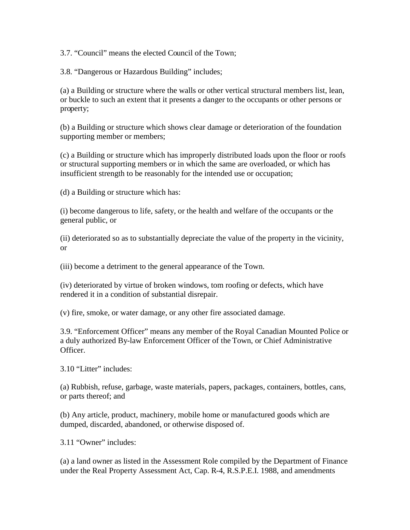3.7. "Council" means the elected Council of the Town;

3.8. "Dangerous or Hazardous Building" includes;

(a) a Building or structure where the walls or other vertical structural members list, lean, or buckle to such an extent that it presents a danger to the occupants or other persons or property;

(b) a Building or structure which shows clear damage or deterioration of the foundation supporting member or members;

(c) a Building or structure which has improperly distributed loads upon the floor or roofs or structural supporting members or in which the same are overloaded, or which has insufficient strength to be reasonably for the intended use or occupation;

(d) a Building or structure which has:

(i) become dangerous to life, safety, or the health and welfare of the occupants or the general public, or

(ii) deteriorated so as to substantially depreciate the value of the property in the vicinity, or

(iii) become a detriment to the general appearance of the Town.

(iv) deteriorated by virtue of broken windows, tom roofing or defects, which have rendered it in a condition of substantial disrepair.

(v) fire, smoke, or water damage, or any other fire associated damage.

3.9. "Enforcement Officer" means any member of the Royal Canadian Mounted Police or a duly authorized By-law Enforcement Officer of the Town, or Chief Administrative Officer.

3.10 "Litter" includes:

(a) Rubbish, refuse, garbage, waste materials, papers, packages, containers, bottles, cans, or parts thereof; and

(b) Any article, product, machinery, mobile home or manufactured goods which are dumped, discarded, abandoned, or otherwise disposed of.

3.11 "Owner" includes:

(a) a land owner as listed in the Assessment Role compiled by the Department of Finance under the Real Property Assessment Act, Cap. R-4, R.S.P.E.I. 1988, and amendments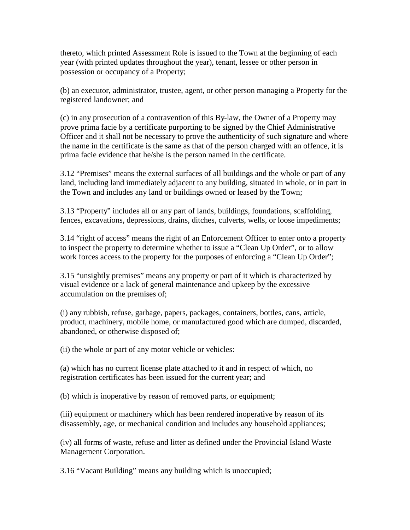thereto, which printed Assessment Role is issued to the Town at the beginning of each year (with printed updates throughout the year), tenant, lessee or other person in possession or occupancy of a Property;

(b) an executor, administrator, trustee, agent, or other person managing a Property for the registered landowner; and

(c) in any prosecution of a contravention of this By-law, the Owner of a Property may prove prima facie by a certificate purporting to be signed by the Chief Administrative Officer and it shall not be necessary to prove the authenticity of such signature and where the name in the certificate is the same as that of the person charged with an offence, it is prima facie evidence that he/she is the person named in the certificate.

3.12 "Premises" means the external surfaces of all buildings and the whole or part of any land, including land immediately adjacent to any building, situated in whole, or in part in the Town and includes any land or buildings owned or leased by the Town;

3.13 "Property" includes all or any part of lands, buildings, foundations, scaffolding, fences, excavations, depressions, drains, ditches, culverts, wells, or loose impediments;

3.14 "right of access" means the right of an Enforcement Officer to enter onto a property to inspect the property to determine whether to issue a "Clean Up Order", or to allow work forces access to the property for the purposes of enforcing a "Clean Up Order";

3.15 "unsightly premises" means any property or part of it which is characterized by visual evidence or a lack of general maintenance and upkeep by the excessive accumulation on the premises of;

(i) any rubbish, refuse, garbage, papers, packages, containers, bottles, cans, article, product, machinery, mobile home, or manufactured good which are dumped, discarded, abandoned, or otherwise disposed of;

(ii) the whole or part of any motor vehicle or vehicles:

(a) which has no current license plate attached to it and in respect of which, no registration certificates has been issued for the current year; and

(b) which is inoperative by reason of removed parts, or equipment;

(iii) equipment or machinery which has been rendered inoperative by reason of its disassembly, age, or mechanical condition and includes any household appliances;

(iv) all forms of waste, refuse and litter as defined under the Provincial Island Waste Management Corporation.

3.16 "Vacant Building" means any building which is unoccupied;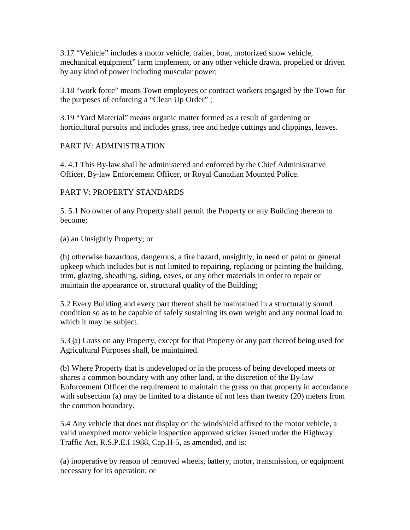3.17 "Vehicle" includes a motor vehicle, trailer, boat, motorized snow vehicle, mechanical equipment" farm implement, or any other vehicle drawn, propelled or driven by any kind of power including muscular power;

3.18 "work force" means Town employees or contract workers engaged by the Town for the purposes of enforcing a "Clean Up Order" ;

3.19 "Yard Material" means organic matter formed as a result of gardening or horticultural pursuits and includes grass, tree and hedge cuttings and clippings, leaves.

## PART IV: ADMINISTRATION

4. 4.1 This By-law shall be administered and enforced by the Chief Administrative Officer, By-law Enforcement Officer, or Royal Canadian Mounted Police.

## PART V: PROPERTY STANDARDS

5. 5.1 No owner of any Property shall permit the Property or any Building thereon to become;

(a) an Unsightly Property; or

(b) otherwise hazardous, dangerous, a fire hazard, unsightly, in need of paint or general upkeep which includes but is not limited to repairing, replacing or painting the building, trim, glazing, sheathing, siding, eaves, or any other materials in order to repair or maintain the appearance or, structural quality of the Building;

5.2 Every Building and every part thereof shall be maintained in a structurally sound condition so as to be capable of safely sustaining its own weight and any normal load to which it may be subject.

5.3 (a) Grass on any Property, except for that Property or any part thereof being used for Agricultural Purposes shall, be maintained.

(b) Where Property that is undeveloped or in the process of being developed meets or shares a common boundary with any other land, at the discretion of the By-law Enforcement Officer the requirement to maintain the grass on that property in accordance with subsection (a) may be limited to a distance of not less than twenty (20) meters from the common boundary.

5.4 Any vehicle that does not display on the windshield affixed to the motor vehicle, a valid unexpired motor vehicle inspection approved sticker issued under the Highway Traffic Act, R.S.P.E.I 1988, Cap.H-5, as amended, and is:

(a) inoperative by reason of removed wheels, battery, motor, transmission, or equipment necessary for its operation; or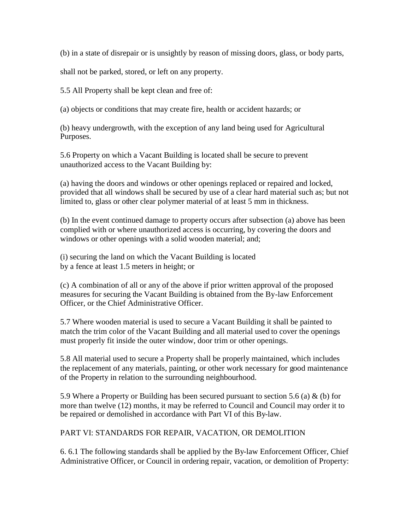(b) in a state of disrepair or is unsightly by reason of missing doors, glass, or body parts,

shall not be parked, stored, or left on any property.

5.5 All Property shall be kept clean and free of:

(a) objects or conditions that may create fire, health or accident hazards; or

(b) heavy undergrowth, with the exception of any land being used for Agricultural Purposes.

5.6 Property on which a Vacant Building is located shall be secure to prevent unauthorized access to the Vacant Building by:

(a) having the doors and windows or other openings replaced or repaired and locked, provided that all windows shall be secured by use of a clear hard material such as; but not limited to, glass or other clear polymer material of at least 5 mm in thickness.

(b) In the event continued damage to property occurs after subsection (a) above has been complied with or where unauthorized access is occurring, by covering the doors and windows or other openings with a solid wooden material; and;

(i) securing the land on which the Vacant Building is located by a fence at least 1.5 meters in height; or

(c) A combination of all or any of the above if prior written approval of the proposed measures for securing the Vacant Building is obtained from the By-law Enforcement Officer, or the Chief Administrative Officer.

5.7 Where wooden material is used to secure a Vacant Building it shall be painted to match the trim color of the Vacant Building and all material used to cover the openings must properly fit inside the outer window, door trim or other openings.

5.8 All material used to secure a Property shall be properly maintained, which includes the replacement of any materials, painting, or other work necessary for good maintenance of the Property in relation to the surrounding neighbourhood.

5.9 Where a Property or Building has been secured pursuant to section 5.6 (a)  $\&$  (b) for more than twelve (12) months, it may be referred to Council and Council may order it to be repaired or demolished in accordance with Part VI of this By-law.

## PART VI: STANDARDS FOR REPAIR, VACATION, OR DEMOLITION

6. 6.1 The following standards shall be applied by the By-law Enforcement Officer, Chief Administrative Officer, or Council in ordering repair, vacation, or demolition of Property: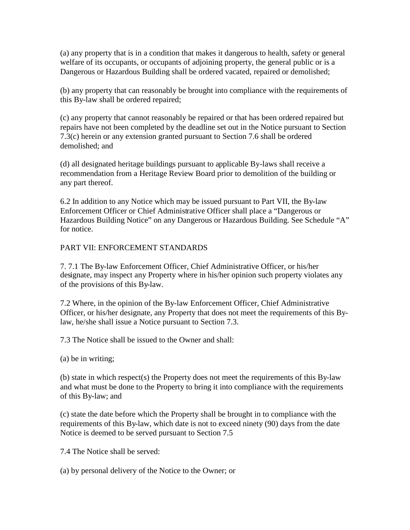(a) any property that is in a condition that makes it dangerous to health, safety or general welfare of its occupants, or occupants of adjoining property, the general public or is a Dangerous or Hazardous Building shall be ordered vacated, repaired or demolished;

(b) any property that can reasonably be brought into compliance with the requirements of this By-law shall be ordered repaired;

(c) any property that cannot reasonably be repaired or that has been ordered repaired but repairs have not been completed by the deadline set out in the Notice pursuant to Section 7.3(c) herein or any extension granted pursuant to Section 7.6 shall be ordered demolished; and

(d) all designated heritage buildings pursuant to applicable By-laws shall receive a recommendation from a Heritage Review Board prior to demolition of the building or any part thereof.

6.2 In addition to any Notice which may be issued pursuant to Part VII, the By-law Enforcement Officer or Chief Administrative Officer shall place a "Dangerous or Hazardous Building Notice" on any Dangerous or Hazardous Building. See Schedule "A" for notice.

#### PART VII: ENFORCEMENT STANDARDS

7. 7.1 The By-law Enforcement Officer, Chief Administrative Officer, or his/her designate, may inspect any Property where in his/her opinion such property violates any of the provisions of this By-law.

7.2 Where, in the opinion of the By-law Enforcement Officer, Chief Administrative Officer, or his/her designate, any Property that does not meet the requirements of this Bylaw, he/she shall issue a Notice pursuant to Section 7.3.

7.3 The Notice shall be issued to the Owner and shall:

(a) be in writing;

(b) state in which respect(s) the Property does not meet the requirements of this By-law and what must be done to the Property to bring it into compliance with the requirements of this By-law; and

(c) state the date before which the Property shall be brought in to compliance with the requirements of this By-law, which date is not to exceed ninety (90) days from the date Notice is deemed to be served pursuant to Section 7.5

7.4 The Notice shall be served:

(a) by personal delivery of the Notice to the Owner; or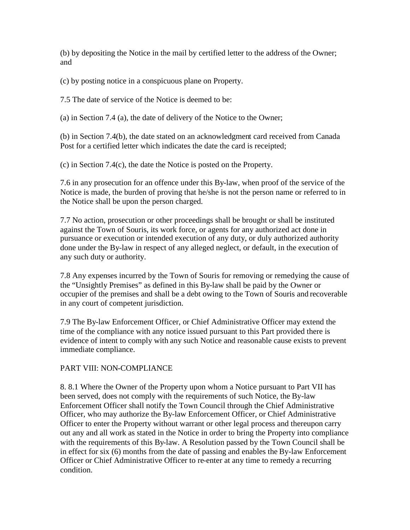(b) by depositing the Notice in the mail by certified letter to the address of the Owner; and

(c) by posting notice in a conspicuous plane on Property.

7.5 The date of service of the Notice is deemed to be:

(a) in Section 7.4 (a), the date of delivery of the Notice to the Owner;

(b) in Section 7.4(b), the date stated on an acknowledgment card received from Canada Post for a certified letter which indicates the date the card is receipted;

(c) in Section 7.4(c), the date the Notice is posted on the Property.

7.6 in any prosecution for an offence under this By-law, when proof of the service of the Notice is made, the burden of proving that he/she is not the person name or referred to in the Notice shall be upon the person charged.

7.7 No action, prosecution or other proceedings shall be brought or shall be instituted against the Town of Souris, its work force, or agents for any authorized act done in pursuance or execution or intended execution of any duty, or duly authorized authority done under the By-law in respect of any alleged neglect, or default, in the execution of any such duty or authority.

7.8 Any expenses incurred by the Town of Souris for removing or remedying the cause of the "Unsightly Premises" as defined in this By-law shall be paid by the Owner or occupier of the premises and shall be a debt owing to the Town of Souris and recoverable in any court of competent jurisdiction.

7.9 The By-law Enforcement Officer, or Chief Administrative Officer may extend the time of the compliance with any notice issued pursuant to this Part provided there is evidence of intent to comply with any such Notice and reasonable cause exists to prevent immediate compliance.

## PART VIII: NON-COMPLIANCE

8. 8.1 Where the Owner of the Property upon whom a Notice pursuant to Part VII has been served, does not comply with the requirements of such Notice, the By-law Enforcement Officer shall notify the Town Council through the Chief Administrative Officer, who may authorize the By-law Enforcement Officer, or Chief Administrative Officer to enter the Property without warrant or other legal process and thereupon carry out any and all work as stated in the Notice in order to bring the Property into compliance with the requirements of this By-law. A Resolution passed by the Town Council shall be in effect for six (6) months from the date of passing and enables the By-law Enforcement Officer or Chief Administrative Officer to re-enter at any time to remedy a recurring condition.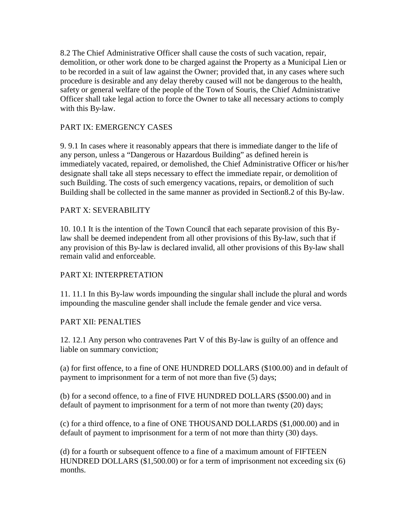8.2 The Chief Administrative Officer shall cause the costs of such vacation, repair, demolition, or other work done to be charged against the Property as a Municipal Lien or to be recorded in a suit of law against the Owner; provided that, in any cases where such procedure is desirable and any delay thereby caused will not be dangerous to the health, safety or general welfare of the people of the Town of Souris, the Chief Administrative Officer shall take legal action to force the Owner to take all necessary actions to comply with this By-law.

#### PART IX: EMERGENCY CASES

9. 9.1 In cases where it reasonably appears that there is immediate danger to the life of any person, unless a "Dangerous or Hazardous Building" as defined herein is immediately vacated, repaired, or demolished, the Chief Administrative Officer or his/her designate shall take all steps necessary to effect the immediate repair, or demolition of such Building. The costs of such emergency vacations, repairs, or demolition of such Building shall be collected in the same manner as provided in Section8.2 of this By-law.

#### PART X: SEVERABILITY

10. 10.1 It is the intention of the Town Council that each separate provision of this Bylaw shall be deemed independent from all other provisions of this By-law, such that if any provision of this By-law is declared invalid, all other provisions of this By-law shall remain valid and enforceable.

#### PART XI: INTERPRETATION

11. 11.1 In this By-law words impounding the singular shall include the plural and words impounding the masculine gender shall include the female gender and vice versa.

#### PART XII: PENALTIES

12. 12.1 Any person who contravenes Part V of this By-law is guilty of an offence and liable on summary conviction;

(a) for first offence, to a fine of ONE HUNDRED DOLLARS (\$100.00) and in default of payment to imprisonment for a term of not more than five (5) days;

(b) for a second offence, to a fine of FIVE HUNDRED DOLLARS (\$500.00) and in default of payment to imprisonment for a term of not more than twenty (20) days;

(c) for a third offence, to a fine of ONE THOUSAND DOLLARDS (\$1,000.00) and in default of payment to imprisonment for a term of not more than thirty (30) days.

(d) for a fourth or subsequent offence to a fine of a maximum amount of FIFTEEN HUNDRED DOLLARS (\$1,500.00) or for a term of imprisonment not exceeding six (6) months.